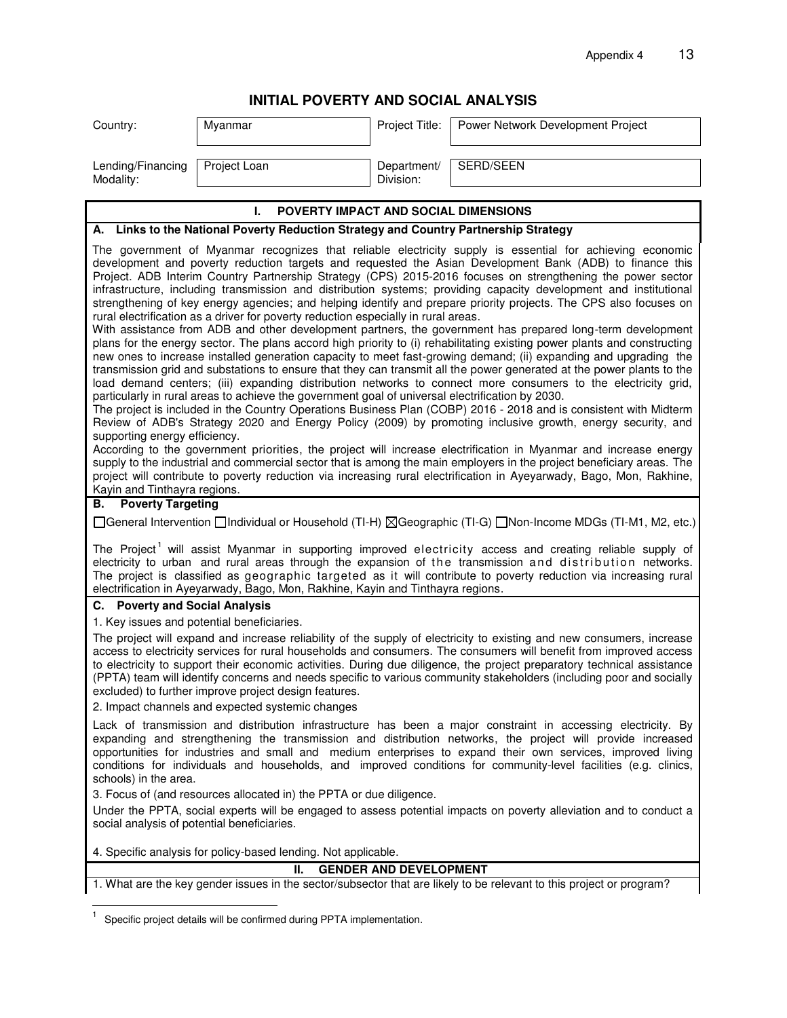## **INITIAL POVERTY AND SOCIAL ANALYSIS**

| Country:                                                                                        | Myanmar                                                                                                                                                                                | Project Title:                | Power Network Development Project                                                                                                                                                                                                                                                                                                                                                                                                                                                                                                                                                                                                                                                                                                                                                                                                                                                                                                                                                                                                                                                                                                                                                                                                                                                                                                                                                                                                                                                                                                                                                                                                                                                                                                                                                                                                                                                                               |
|-------------------------------------------------------------------------------------------------|----------------------------------------------------------------------------------------------------------------------------------------------------------------------------------------|-------------------------------|-----------------------------------------------------------------------------------------------------------------------------------------------------------------------------------------------------------------------------------------------------------------------------------------------------------------------------------------------------------------------------------------------------------------------------------------------------------------------------------------------------------------------------------------------------------------------------------------------------------------------------------------------------------------------------------------------------------------------------------------------------------------------------------------------------------------------------------------------------------------------------------------------------------------------------------------------------------------------------------------------------------------------------------------------------------------------------------------------------------------------------------------------------------------------------------------------------------------------------------------------------------------------------------------------------------------------------------------------------------------------------------------------------------------------------------------------------------------------------------------------------------------------------------------------------------------------------------------------------------------------------------------------------------------------------------------------------------------------------------------------------------------------------------------------------------------------------------------------------------------------------------------------------------------|
| Lending/Financing<br>Modality:                                                                  | Project Loan                                                                                                                                                                           | Department/<br>Division:      | SERD/SEEN                                                                                                                                                                                                                                                                                                                                                                                                                                                                                                                                                                                                                                                                                                                                                                                                                                                                                                                                                                                                                                                                                                                                                                                                                                                                                                                                                                                                                                                                                                                                                                                                                                                                                                                                                                                                                                                                                                       |
|                                                                                                 | POVERTY IMPACT AND SOCIAL DIMENSIONS<br>L.                                                                                                                                             |                               |                                                                                                                                                                                                                                                                                                                                                                                                                                                                                                                                                                                                                                                                                                                                                                                                                                                                                                                                                                                                                                                                                                                                                                                                                                                                                                                                                                                                                                                                                                                                                                                                                                                                                                                                                                                                                                                                                                                 |
|                                                                                                 | A. Links to the National Poverty Reduction Strategy and Country Partnership Strategy                                                                                                   |                               |                                                                                                                                                                                                                                                                                                                                                                                                                                                                                                                                                                                                                                                                                                                                                                                                                                                                                                                                                                                                                                                                                                                                                                                                                                                                                                                                                                                                                                                                                                                                                                                                                                                                                                                                                                                                                                                                                                                 |
| supporting energy efficiency.<br>Kayin and Tinthayra regions.<br><b>Poverty Targeting</b><br>В. | rural electrification as a driver for poverty reduction especially in rural areas.<br>particularly in rural areas to achieve the government goal of universal electrification by 2030. |                               | The government of Myanmar recognizes that reliable electricity supply is essential for achieving economic<br>development and poverty reduction targets and requested the Asian Development Bank (ADB) to finance this<br>Project. ADB Interim Country Partnership Strategy (CPS) 2015-2016 focuses on strengthening the power sector<br>infrastructure, including transmission and distribution systems; providing capacity development and institutional<br>strengthening of key energy agencies; and helping identify and prepare priority projects. The CPS also focuses on<br>With assistance from ADB and other development partners, the government has prepared long-term development<br>plans for the energy sector. The plans accord high priority to (i) rehabilitating existing power plants and constructing<br>new ones to increase installed generation capacity to meet fast-growing demand; (ii) expanding and upgrading the<br>transmission grid and substations to ensure that they can transmit all the power generated at the power plants to the<br>load demand centers; (iii) expanding distribution networks to connect more consumers to the electricity grid,<br>The project is included in the Country Operations Business Plan (COBP) 2016 - 2018 and is consistent with Midterm<br>Review of ADB's Strategy 2020 and Energy Policy (2009) by promoting inclusive growth, energy security, and<br>According to the government priorities, the project will increase electrification in Myanmar and increase energy<br>supply to the industrial and commercial sector that is among the main employers in the project beneficiary areas. The<br>project will contribute to poverty reduction via increasing rural electrification in Ayeyarwady, Bago, Mon, Rakhine,<br>[General Intervention   Individual or Household (TI-H) ⊠Geographic (TI-G)   Non-Income MDGs (TI-M1, M2, etc.) |
|                                                                                                 | electrification in Ayeyarwady, Bago, Mon, Rakhine, Kayin and Tinthayra regions.                                                                                                        |                               | The Project <sup>1</sup> will assist Myanmar in supporting improved electricity access and creating reliable supply of<br>electricity to urban and rural areas through the expansion of the transmission and distribution networks.<br>The project is classified as geographic targeted as it will contribute to poverty reduction via increasing rural                                                                                                                                                                                                                                                                                                                                                                                                                                                                                                                                                                                                                                                                                                                                                                                                                                                                                                                                                                                                                                                                                                                                                                                                                                                                                                                                                                                                                                                                                                                                                         |
| C. Poverty and Social Analysis                                                                  |                                                                                                                                                                                        |                               |                                                                                                                                                                                                                                                                                                                                                                                                                                                                                                                                                                                                                                                                                                                                                                                                                                                                                                                                                                                                                                                                                                                                                                                                                                                                                                                                                                                                                                                                                                                                                                                                                                                                                                                                                                                                                                                                                                                 |
|                                                                                                 | 1. Key issues and potential beneficiaries.<br>excluded) to further improve project design features.<br>2. Impact channels and expected systemic changes                                |                               | The project will expand and increase reliability of the supply of electricity to existing and new consumers, increase<br>access to electricity services for rural households and consumers. The consumers will benefit from improved access<br>to electricity to support their economic activities. During due diligence, the project preparatory technical assistance<br>(PPTA) team will identify concerns and needs specific to various community stakeholders (including poor and socially                                                                                                                                                                                                                                                                                                                                                                                                                                                                                                                                                                                                                                                                                                                                                                                                                                                                                                                                                                                                                                                                                                                                                                                                                                                                                                                                                                                                                  |
| schools) in the area.                                                                           | 3. Focus of (and resources allocated in) the PPTA or due diligence.                                                                                                                    |                               | Lack of transmission and distribution infrastructure has been a major constraint in accessing electricity. By<br>expanding and strengthening the transmission and distribution networks, the project will provide increased<br>opportunities for industries and small and medium enterprises to expand their own services, improved living<br>conditions for individuals and households, and improved conditions for community-level facilities (e.g. clinics,                                                                                                                                                                                                                                                                                                                                                                                                                                                                                                                                                                                                                                                                                                                                                                                                                                                                                                                                                                                                                                                                                                                                                                                                                                                                                                                                                                                                                                                  |
| social analysis of potential beneficiaries.                                                     |                                                                                                                                                                                        |                               | Under the PPTA, social experts will be engaged to assess potential impacts on poverty alleviation and to conduct a                                                                                                                                                                                                                                                                                                                                                                                                                                                                                                                                                                                                                                                                                                                                                                                                                                                                                                                                                                                                                                                                                                                                                                                                                                                                                                                                                                                                                                                                                                                                                                                                                                                                                                                                                                                              |
|                                                                                                 | 4. Specific analysis for policy-based lending. Not applicable.                                                                                                                         |                               |                                                                                                                                                                                                                                                                                                                                                                                                                                                                                                                                                                                                                                                                                                                                                                                                                                                                                                                                                                                                                                                                                                                                                                                                                                                                                                                                                                                                                                                                                                                                                                                                                                                                                                                                                                                                                                                                                                                 |
|                                                                                                 | Ш.                                                                                                                                                                                     | <b>GENDER AND DEVELOPMENT</b> | 1. What are the key gender issues in the sector/subsector that are likely to be relevant to this project or program?                                                                                                                                                                                                                                                                                                                                                                                                                                                                                                                                                                                                                                                                                                                                                                                                                                                                                                                                                                                                                                                                                                                                                                                                                                                                                                                                                                                                                                                                                                                                                                                                                                                                                                                                                                                            |
|                                                                                                 | Specific project details will be confirmed during PPTA implementation.                                                                                                                 |                               |                                                                                                                                                                                                                                                                                                                                                                                                                                                                                                                                                                                                                                                                                                                                                                                                                                                                                                                                                                                                                                                                                                                                                                                                                                                                                                                                                                                                                                                                                                                                                                                                                                                                                                                                                                                                                                                                                                                 |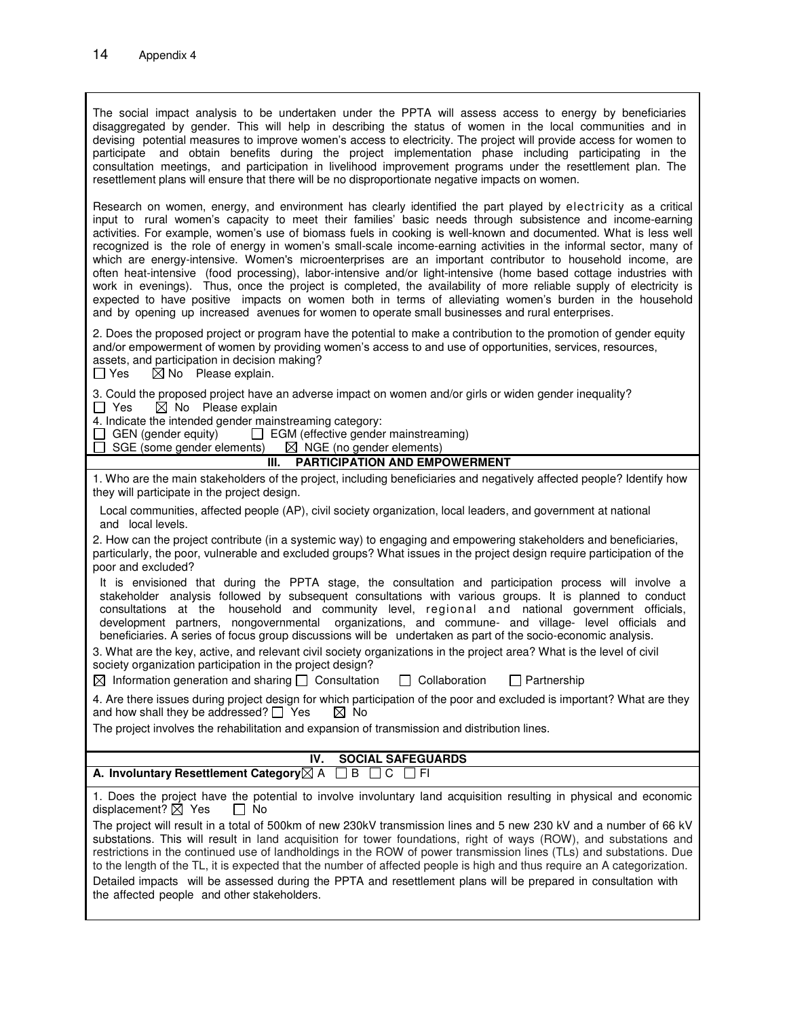The social impact analysis to be undertaken under the PPTA will assess access to energy by beneficiaries disaggregated by gender. This will help in describing the status of women in the local communities and in devising potential measures to improve women's access to electricity. The project will provide access for women to participate and obtain benefits during the project implementation phase including participating in the consultation meetings, and participation in livelihood improvement programs under the resettlement plan. The resettlement plans will ensure that there will be no disproportionate negative impacts on women. Research on women, energy, and environment has clearly identified the part played by electricity as a critical input to rural women's capacity to meet their families' basic needs through subsistence and income-earning activities. For example, women's use of biomass fuels in cooking is well-known and documented. What is less well recognized is the role of energy in women's small-scale income-earning activities in the informal sector, many of which are energy-intensive. Women's microenterprises are an important contributor to household income, are often heat-intensive (food processing), labor-intensive and/or light-intensive (home based cottage industries with work in evenings). Thus, once the project is completed, the availability of more reliable supply of electricity is expected to have positive impacts on women both in terms of alleviating women's burden in the household and by opening up increased avenues for women to operate small businesses and rural enterprises. 2. Does the proposed project or program have the potential to make a contribution to the promotion of gender equity and/or empowerment of women by providing women's access to and use of opportunities, services, resources, assets, and participation in decision making?  $\Box$  Yes  $\Box$  No Please explain. 3. Could the proposed project have an adverse impact on women and/or girls or widen gender inequality?  $\Box$  Yes  $\boxtimes$  No Please explain 4. Indicate the intended gender mainstreaming category:  $\Box$  GEN (gender equity)  $\Box$  EGM (effective gender mainstreaming)  $\Box$  SGE (some gender elements)  $\boxtimes$  NGE (no gender elements)  $\Box$  SGE (some gender elements) **III. PARTICIPATION AND EMPOWERMENT** 1. Who are the main stakeholders of the project, including beneficiaries and negatively affected people? Identify how they will participate in the project design. Local communities, affected people (AP), civil society organization, local leaders, and government at national and local levels.

| 2. How can the project contribute (in a systemic way) to engaging and empowering stakeholders and beneficiaries,       |
|------------------------------------------------------------------------------------------------------------------------|
| particularly, the poor, vulnerable and excluded groups? What issues in the project design require participation of the |
| poor and excluded?                                                                                                     |

| It is envisioned that during the PPTA stage, the consultation and participation process will involve a        |
|---------------------------------------------------------------------------------------------------------------|
| stakeholder analysis followed by subsequent consultations with various groups. It is planned to conduct       |
| consultations at the household and community level, regional and national government officials,               |
| development partners, nongovernmental organizations, and commune- and village- level officials and            |
| beneficiaries. A series of focus group discussions will be undertaken as part of the socio-economic analysis. |

3. What are the key, active, and relevant civil society organizations in the project area? What is the level of civil society organization participation in the project design?

|  |  |  | $\boxtimes$ Information generation and sharing $\Box$ Consultation |  | $\Box$ Collaboration | $\Box$ Partnership |
|--|--|--|--------------------------------------------------------------------|--|----------------------|--------------------|
|--|--|--|--------------------------------------------------------------------|--|----------------------|--------------------|

4. Are there issues during project design for which participation of the poor and excluded is important? What are they and how shall they be addressed?  $\Box$  Yes  $\Box$  No and how shall they be addressed?  $\Box$  Yes

The project involves the rehabilitation and expansion of transmission and distribution lines.

## **IV. SOCIAL SAFEGUARDS**

|  |  | A. Involuntary Resettlement Category $\boxtimes$ A $\;\;\square$ B $\;\square$ C $\;\square$ Fl |  |  |  |  |  |  |  |  |
|--|--|-------------------------------------------------------------------------------------------------|--|--|--|--|--|--|--|--|
|--|--|-------------------------------------------------------------------------------------------------|--|--|--|--|--|--|--|--|

1. Does the project have the potential to involve involuntary land acquisition resulting in physical and economic displacement?  $\boxtimes$  Yes  $\Box$  No

The project will result in a total of 500km of new 230kV transmission lines and 5 new 230 kV and a number of 66 kV substations. This will result in land acquisition for tower foundations, right of ways (ROW), and substations and restrictions in the continued use of landholdings in the ROW of power transmission lines (TLs) and substations. Due to the length of the TL, it is expected that the number of affected people is high and thus require an A categorization. Detailed impacts will be assessed during the PPTA and resettlement plans will be prepared in consultation with the affected people and other stakeholders.